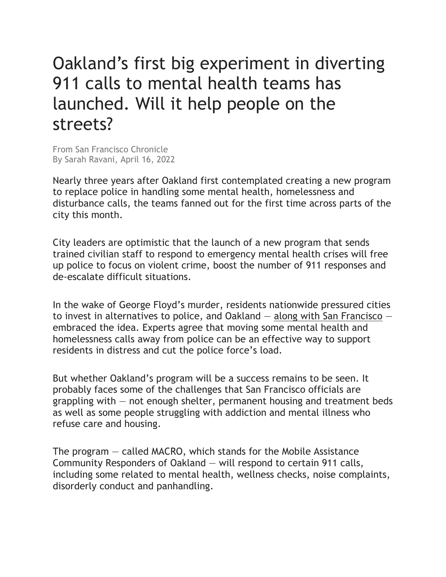## Oakland's first big experiment in diverting 911 calls to mental health teams has launched. Will it help people on the streets?

From San Francisco Chronicle By Sarah Ravani, April 16, 2022

Nearly three years after Oakland first contemplated creating a new program to replace police in handling some mental health, homelessness and disturbance calls, the teams fanned out for the first time across parts of the city this month.

City leaders are optimistic that the launch of a new program that sends trained civilian staff to respond to emergency mental health crises will free up police to focus on violent crime, boost the number of 911 responses and de-escalate difficult situations.

In the wake of George Floyd's murder, residents nationwide pressured cities to invest in alternatives to police, and Oakland — along with San Francisco embraced the idea. Experts agree that moving some mental health and homelessness calls away from police can be an effective way to support residents in distress and cut the police force's load.

But whether Oakland's program will be a success remains to be seen. It probably faces some of the challenges that San Francisco officials are grappling with  $-$  not enough shelter, permanent housing and treatment beds as well as some people struggling with addiction and mental illness who refuse care and housing.

The program — called MACRO, which stands for the Mobile Assistance Community Responders of Oakland — will respond to certain 911 calls, including some related to mental health, wellness checks, noise complaints, disorderly conduct and panhandling.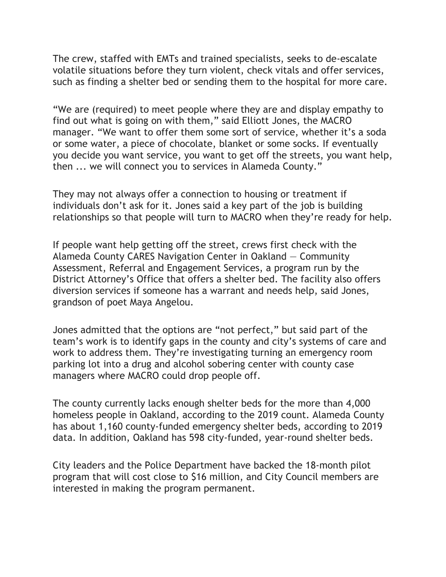The crew, staffed with EMTs and trained specialists, seeks to de-escalate volatile situations before they turn violent, check vitals and offer services, such as finding a shelter bed or sending them to the hospital for more care.

"We are (required) to meet people where they are and display empathy to find out what is going on with them," said Elliott Jones, the MACRO manager. "We want to offer them some sort of service, whether it's a soda or some water, a piece of chocolate, blanket or some socks. If eventually you decide you want service, you want to get off the streets, you want help, then ... we will connect you to services in Alameda County."

They may not always offer a connection to housing or treatment if individuals don't ask for it. Jones said a key part of the job is building relationships so that people will turn to MACRO when they're ready for help.

If people want help getting off the street, crews first check with the Alameda County CARES Navigation Center in Oakland — Community Assessment, Referral and Engagement Services, a program run by the District Attorney's Office that offers a shelter bed. The facility also offers diversion services if someone has a warrant and needs help, said Jones, grandson of poet Maya Angelou.

Jones admitted that the options are "not perfect," but said part of the team's work is to identify gaps in the county and city's systems of care and work to address them. They're investigating turning an emergency room parking lot into a drug and alcohol sobering center with county case managers where MACRO could drop people off.

The county currently lacks enough shelter beds for the more than 4,000 homeless people in Oakland, according to the 2019 count. Alameda County has about 1,160 county-funded emergency shelter beds, according to 2019 data. In addition, Oakland has 598 city-funded, year-round shelter beds.

City leaders and the Police Department have backed the 18-month pilot program that will cost close to \$16 million, and City Council members are interested in making the program permanent.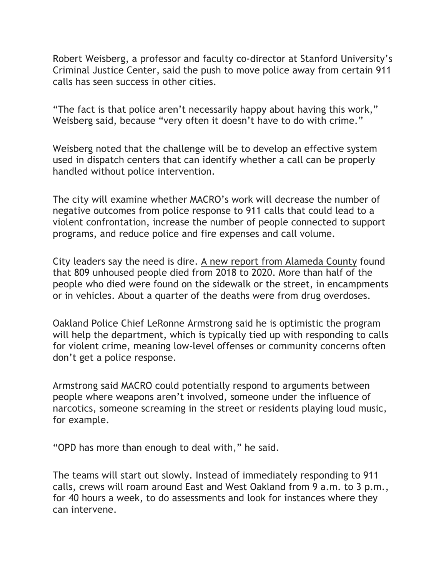Robert Weisberg, a professor and faculty co-director at Stanford University's Criminal Justice Center, said the push to move police away from certain 911 calls has seen success in other cities.

"The fact is that police aren't necessarily happy about having this work," Weisberg said, because "very often it doesn't have to do with crime."

Weisberg noted that the challenge will be to develop an effective system used in dispatch centers that can identify whether a call can be properly handled without police intervention.

The city will examine whether MACRO's work will decrease the number of negative outcomes from police response to 911 calls that could lead to a violent confrontation, increase the number of people connected to support programs, and reduce police and fire expenses and call volume.

City leaders say the need is dire. A new report from Alameda County found that 809 unhoused people died from 2018 to 2020. More than half of the people who died were found on the sidewalk or the street, in encampments or in vehicles. About a quarter of the deaths were from drug overdoses.

Oakland Police Chief LeRonne Armstrong said he is optimistic the program will help the department, which is typically tied up with responding to calls for violent crime, meaning low-level offenses or community concerns often don't get a police response.

Armstrong said MACRO could potentially respond to arguments between people where weapons aren't involved, someone under the influence of narcotics, someone screaming in the street or residents playing loud music, for example.

"OPD has more than enough to deal with," he said.

The teams will start out slowly. Instead of immediately responding to 911 calls, crews will roam around East and West Oakland from 9 a.m. to 3 p.m., for 40 hours a week, to do assessments and look for instances where they can intervene.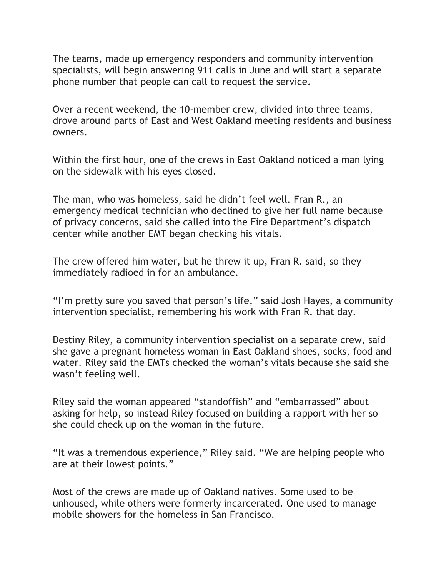The teams, made up emergency responders and community intervention specialists, will begin answering 911 calls in June and will start a separate phone number that people can call to request the service.

Over a recent weekend, the 10-member crew, divided into three teams, drove around parts of East and West Oakland meeting residents and business owners.

Within the first hour, one of the crews in East Oakland noticed a man lying on the sidewalk with his eyes closed.

The man, who was homeless, said he didn't feel well. Fran R., an emergency medical technician who declined to give her full name because of privacy concerns, said she called into the Fire Department's dispatch center while another EMT began checking his vitals.

The crew offered him water, but he threw it up, Fran R. said, so they immediately radioed in for an ambulance.

"I'm pretty sure you saved that person's life," said Josh Hayes, a community intervention specialist, remembering his work with Fran R. that day.

Destiny Riley, a community intervention specialist on a separate crew, said she gave a pregnant homeless woman in East Oakland shoes, socks, food and water. Riley said the EMTs checked the woman's vitals because she said she wasn't feeling well.

Riley said the woman appeared "standoffish" and "embarrassed" about asking for help, so instead Riley focused on building a rapport with her so she could check up on the woman in the future.

"It was a tremendous experience," Riley said. "We are helping people who are at their lowest points."

Most of the crews are made up of Oakland natives. Some used to be unhoused, while others were formerly incarcerated. One used to manage mobile showers for the homeless in San Francisco.